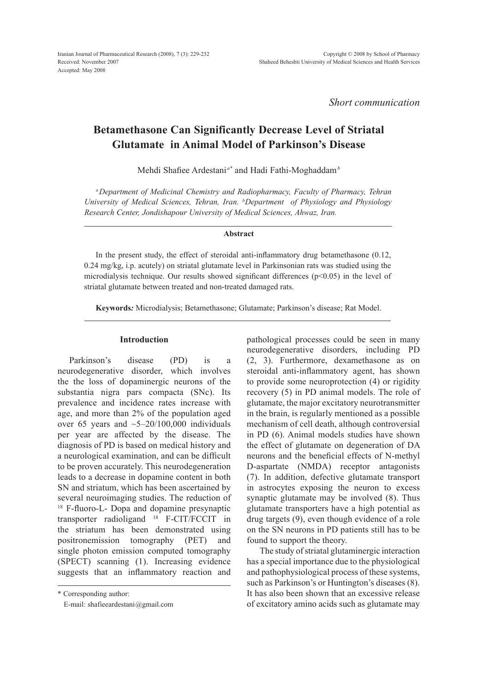*Short communication*

# **Betamethasone Can Significantly Decrease Level of Striatal Glutamate in Animal Model of Parkinson's Disease**

Mehdi Shafiee Ardestani *a\** and Hadi Fathi-Moghaddam*<sup>b</sup>*

*aDepartment of Medicinal Chemistry and Radiopharmacy, Faculty of Pharmacy, Tehran University of Medical Sciences, Tehran, Iran. b Department of Physiology and Physiology Research Center, Jondishapour University of Medical Sciences, Ahwaz, Iran.*

#### **Abstract**

In the present study, the effect of steroidal anti-inflammatory drug betamethasone (0.12, 0.24 mg/kg, i.p. acutely) on striatal glutamate level in Parkinsonian rats was studied using the microdialysis technique. Our results showed significant differences ( $p<0.05$ ) in the level of striatal glutamate between treated and non-treated damaged rats.

**Keywords***:* Microdialysis; Betamethasone; Glutamate; Parkinson's disease; Rat Model.

#### **Introduction**

Parkinson's disease (PD) is a neurodegenerative disorder, which involves the the loss of dopaminergic neurons of the substantia nigra pars compacta (SNc). Its prevalence and incidence rates increase with age, and more than 2% of the population aged over 65 years and  $\sim$  5–20/100,000 individuals per year are affected by the disease. The diagnosis of PD is based on medical history and a neurological examination, and can be difficult to be proven accurately. This neurodegeneration leads to a decrease in dopamine content in both SN and striatum, which has been ascertained by several neuroimaging studies. The reduction of <sup>18</sup> F-fluoro-L- Dopa and dopamine presynaptic transporter radioligand 18 F-CIT/FCCIT in the striatum has been demonstrated using positronemission tomography (PET) and single photon emission computed tomography (SPECT) scanning (1). Increasing evidence suggests that an inflammatory reaction and

\* Corresponding author:

E-mail: shafieeardestani@gmail.com

pathological processes could be seen in many neurodegenerative disorders, including PD (2, 3). Furthermore, dexamethasone as on steroidal anti-inflammatory agent, has shown to provide some neuroprotection (4) or rigidity recovery (5) in PD animal models. The role of glutamate, the major excitatory neurotransmitter in the brain, is regularly mentioned as a possible mechanism of cell death, although controversial in PD (6). Animal models studies have shown the effect of glutamate on degeneration of DA neurons and the beneficial effects of N-methyl D-aspartate (NMDA) receptor antagonists (7). In addition, defective glutamate transport in astrocytes exposing the neuron to excess synaptic glutamate may be involved (8). Thus glutamate transporters have a high potential as drug targets (9), even though evidence of a role on the SN neurons in PD patients still has to be found to support the theory.

 The study of striatal glutaminergic interaction has a special importance due to the physiological and pathophysiological process of these systems, such as Parkinson's or Huntington's diseases (8). It has also been shown that an excessive release of excitatory amino acids such as glutamate may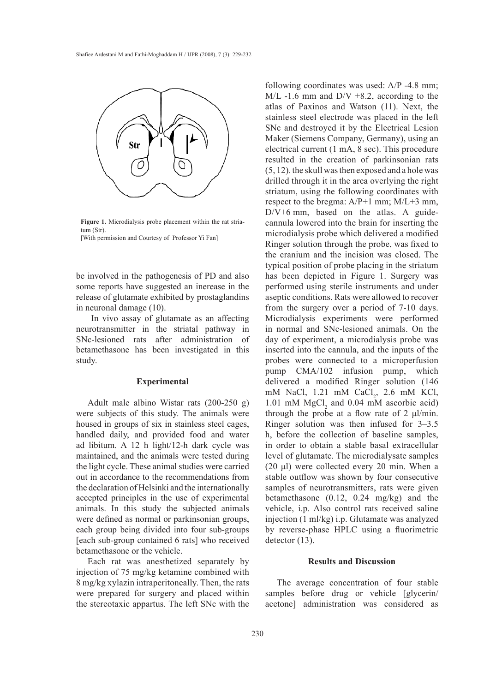

*Figure 1. Microdialysis probe placement within the rat striatum (Str).*  Figure 1. Microdialysis probe placement within the rat striatum (Str). [With permission and Courtesy of Professor Yi Fan]

be involved in the pathogenesis of PD and also some reports have suggested an inerease in the release of glutamate exhibited by prostaglandins in neuronal damage (10).

 In vivo assay of glutamate as an affecting neurotransmitter in the striatal pathway in SNc-lesioned rats after administration of betamethasone has been investigated in this study.

# **Experimental**

Adult male albino Wistar rats (200-250 g) were subjects of this study. The animals were housed in groups of six in stainless steel cages, handled daily, and provided food and water ad libitum. A 12 h light/12-h dark cycle was maintained, and the animals were tested during the light cycle. These animal studies were carried out in accordance to the recommendations from the declaration of Helsinki and the internationally accepted principles in the use of experimental animals. In this study the subjected animals were defined as normal or parkinsonian groups, each group being divided into four sub-groups [each sub-group contained 6 rats] who received betamethasone or the vehicle.

Each rat was anesthetized separately by injection of 75 mg/kg ketamine combined with 8 mg/kg xylazin intraperitoneally. Then, the rats were prepared for surgery and placed within the stereotaxic appartus. The left SNc with the following coordinates was used: A/P -4.8 mm;  $M/L -1.6$  mm and  $D/V +8.2$ , according to the atlas of Paxinos and Watson (11). Next, the stainless steel electrode was placed in the left SNc and destroyed it by the Electrical Lesion Maker (Siemens Company, Germany), using an electrical current (1 mA, 8 sec). This procedure resulted in the creation of parkinsonian rats (5, 12). the skull was then exposed and a hole was drilled through it in the area overlying the right striatum, using the following coordinates with respect to the bregma: A/P+1 mm; M/L+3 mm, D/V+6 mm, based on the atlas. A guidecannula lowered into the brain for inserting the microdialysis probe which delivered a modified Ringer solution through the probe, was fixed to the cranium and the incision was closed. The typical position of probe placing in the striatum has been depicted in Figure 1. Surgery was performed using sterile instruments and under aseptic conditions. Rats were allowed to recover from the surgery over a period of 7-10 days. Microdialysis experiments were performed in normal and SNc-lesioned animals. On the day of experiment, a microdialysis probe was inserted into the cannula, and the inputs of the probes were connected to a microperfusion pump CMA/102 infusion pump, which delivered a modified Ringer solution (146 mM NaCl,  $1.21$  mM CaCl<sub>2</sub>,  $2.6$  mM KCl,  $1.01 \text{ mM } MgCl<sub>2</sub>$  and  $0.04 \text{ mM }$  ascorbic acid) through the probe at a flow rate of 2 μl/min. Ringer solution was then infused for 3–3.5 h, before the collection of baseline samples, in order to obtain a stable basal extracellular level of glutamate. The microdialysate samples (20 μl) were collected every 20 min. When a stable outflow was shown by four consecutive samples of neurotransmitters, rats were given betamethasone (0.12, 0.24 mg/kg) and the vehicle, i.p. Also control rats received saline injection (1 ml/kg) i.p. Glutamate was analyzed by reverse-phase HPLC using a fluorimetric detector  $(13)$ .

# **Results and Discussion**

The average concentration of four stable samples before drug or vehicle [glycerin/ acetone] administration was considered as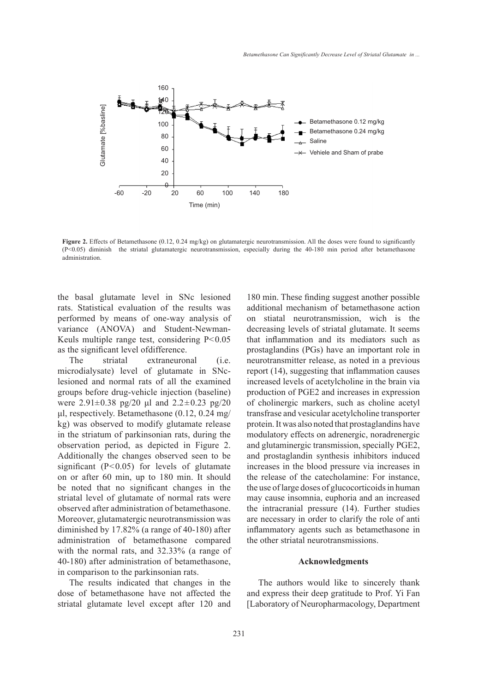

**Figure 2.** Effects of Betamethasone (0.12, 0.24 mg/kg) on glutamatergic neurotransmission. All the doses were found to significantly (P<0.05) diminish the striatal glutamatergic neurotransmission, especially during the 40-180 min period after betamethasone administration.

the basal glutamate level in SNc lesioned rats. Statistical evaluation of the results was performed by means of one-way analysis of variance (ANOVA) and Student-Newman-Keuls multiple range test, considering P<0.05 as the significant level ofdifference.

The striatal extraneuronal (i.e. microdialysate) level of glutamate in SNclesioned and normal rats of all the examined groups before drug-vehicle injection (baseline) were  $2.91 \pm 0.38$  pg/20 µl and  $2.2 \pm 0.23$  pg/20 μl, respectively. Betamethasone (0.12, 0.24 mg/ kg) was observed to modify glutamate release in the striatum of parkinsonian rats, during the observation period, as depicted in Figure 2. Additionally the changes observed seen to be significant  $(P<0.05)$  for levels of glutamate on or after 60 min, up to 180 min. It should be noted that no significant changes in the striatal level of glutamate of normal rats were observed after administration of betamethasone. Moreover, glutamatergic neurotransmission was diminished by 17.82% (a range of 40-180) after administration of betamethasone compared with the normal rats, and 32.33% (a range of 40-180) after administration of betamethasone, in comparison to the parkinsonian rats. **Example 12**<br> **Example 120**<br> **Example 120**<br> **Example 120**<br> **Example 120**<br> **Example 120**<br> **Example 120**<br> **Example 120**<br> **Example 120**<br> **Example 120**<br> **Example 120**<br> **Example 120**<br> **Example 120**<br> **Example 120**<br> **Example 120** 

The results indicated that changes in the dose of betamethasone have not affected the

180 min. These finding suggest another possible additional mechanism of betamethasone action on stiatal neurotransmission, wich is the decreasing levels of striatal glutamate. It seems that inflammation and its mediators such as prostaglandins (PGs) have an important role in neurotransmitter release, as noted in a previous report (14), suggesting that inflammation causes increased levels of acetylcholine in the brain via production of PGE2 and increases in expression of cholinergic markers, such as choline acetyl transfrase and vesicular acetylcholine transporter protein. It was also noted that prostaglandins have modulatory effects on adrenergic, noradrenergic and glutaminergic transmission, specially PGE2, and prostaglandin synthesis inhibitors induced increases in the blood pressure via increases in the release of the catecholamine: For instance, the use of large doses of glucocorticoids in human may cause insomnia, euphoria and an increased the intracranial pressure (14). Further studies are necessary in order to clarify the role of anti inflammatory agents such as betamethasone in the other striatal neurotransmissions.

### **Acknowledgments**

The authors would like to sincerely thank and express their deep gratitude to Prof. Yi Fan [Laboratory of Neuropharmacology, Department